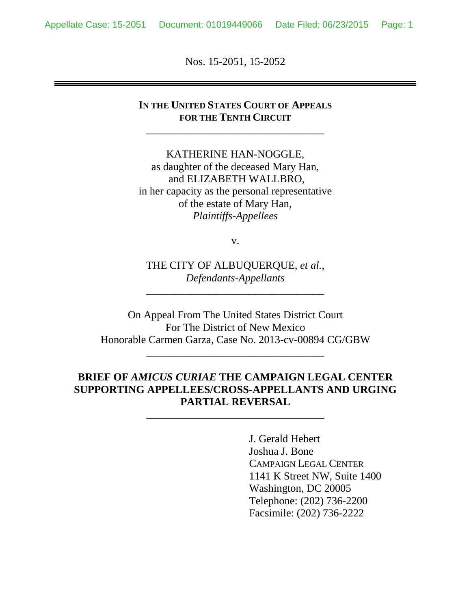Nos. 15-2051, 15-2052

### **IN THE UNITED STATES COURT OF APPEALS FOR THE TENTH CIRCUIT**

\_\_\_\_\_\_\_\_\_\_\_\_\_\_\_\_\_\_\_\_\_\_\_\_\_\_\_\_\_\_\_\_\_

KATHERINE HAN-NOGGLE, as daughter of the deceased Mary Han, and ELIZABETH WALLBRO, in her capacity as the personal representative of the estate of Mary Han, *Plaintiffs-Appellees*

v.

THE CITY OF ALBUQUERQUE, *et al.*, *Defendants-Appellants*

\_\_\_\_\_\_\_\_\_\_\_\_\_\_\_\_\_\_\_\_\_\_\_\_\_\_\_\_\_\_\_\_\_

On Appeal From The United States District Court For The District of New Mexico Honorable Carmen Garza, Case No. 2013-cv-00894 CG/GBW

\_\_\_\_\_\_\_\_\_\_\_\_\_\_\_\_\_\_\_\_\_\_\_\_\_\_\_\_\_\_\_\_\_

## **BRIEF OF** *AMICUS CURIAE* **THE CAMPAIGN LEGAL CENTER SUPPORTING APPELLEES/CROSS-APPELLANTS AND URGING PARTIAL REVERSAL**

\_\_\_\_\_\_\_\_\_\_\_\_\_\_\_\_\_\_\_\_\_\_\_\_\_\_\_\_\_\_\_\_\_

J. Gerald Hebert Joshua J. Bone CAMPAIGN LEGAL CENTER 1141 K Street NW, Suite 1400 Washington, DC 20005 Telephone: (202) 736-2200 Facsimile: (202) 736-2222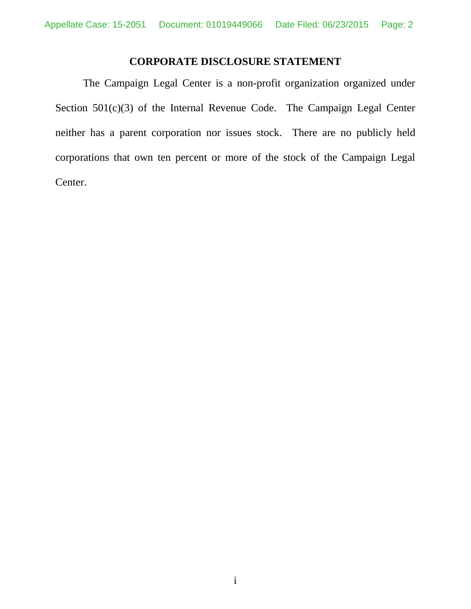## **CORPORATE DISCLOSURE STATEMENT**

The Campaign Legal Center is a non-profit organization organized under Section 501(c)(3) of the Internal Revenue Code. The Campaign Legal Center neither has a parent corporation nor issues stock. There are no publicly held corporations that own ten percent or more of the stock of the Campaign Legal Center.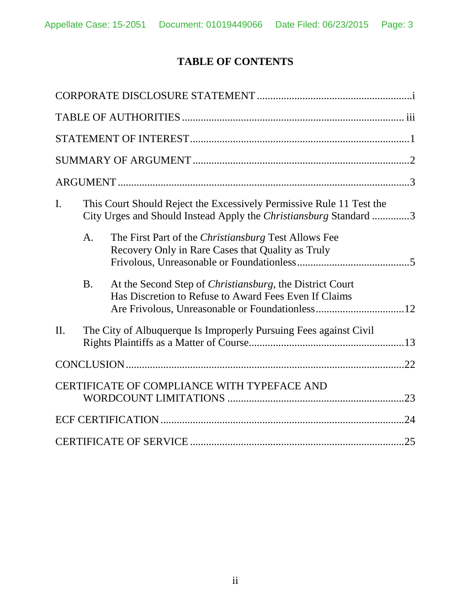# **TABLE OF CONTENTS**

| I.      | This Court Should Reject the Excessively Permissive Rule 11 Test the<br>City Urges and Should Instead Apply the Christiansburg Standard 3 |                                                                                                                           |  |
|---------|-------------------------------------------------------------------------------------------------------------------------------------------|---------------------------------------------------------------------------------------------------------------------------|--|
|         | A.                                                                                                                                        | The First Part of the Christiansburg Test Allows Fee<br>Recovery Only in Rare Cases that Quality as Truly                 |  |
|         | <b>B.</b>                                                                                                                                 | At the Second Step of <i>Christiansburg</i> , the District Court<br>Has Discretion to Refuse to Award Fees Even If Claims |  |
| $\Pi$ . |                                                                                                                                           | The City of Albuquerque Is Improperly Pursuing Fees against Civil                                                         |  |
|         |                                                                                                                                           |                                                                                                                           |  |
|         |                                                                                                                                           | CERTIFICATE OF COMPLIANCE WITH TYPEFACE AND                                                                               |  |
|         |                                                                                                                                           |                                                                                                                           |  |
|         |                                                                                                                                           |                                                                                                                           |  |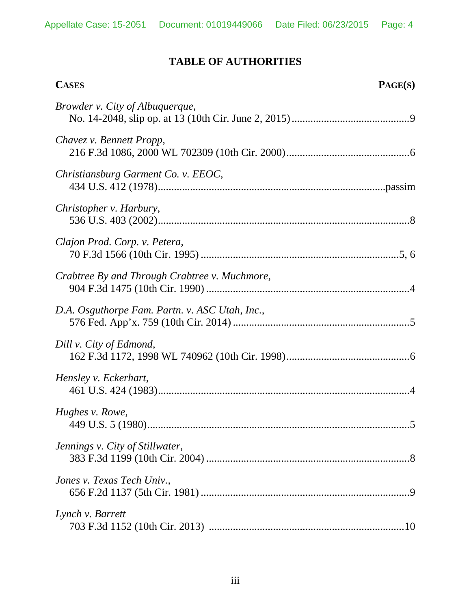# **TABLE OF AUTHORITIES**

| <b>CASES</b>                                   | PAGE(S) |
|------------------------------------------------|---------|
| <i>Browder v. City of Albuquerque,</i>         |         |
| Chavez v. Bennett Propp,                       |         |
| Christiansburg Garment Co. v. EEOC,            |         |
| Christopher v. Harbury,                        |         |
| Clajon Prod. Corp. v. Petera,                  |         |
| Crabtree By and Through Crabtree v. Muchmore,  |         |
| D.A. Osguthorpe Fam. Partn. v. ASC Utah, Inc., |         |
| Dill v. City of Edmond,                        |         |
| Hensley v. Eckerhart,                          |         |
| Hughes v. Rowe,                                |         |
| Jennings v. City of Stillwater,                |         |
| Jones v. Texas Tech Univ.,                     |         |
| Lynch v. Barrett                               |         |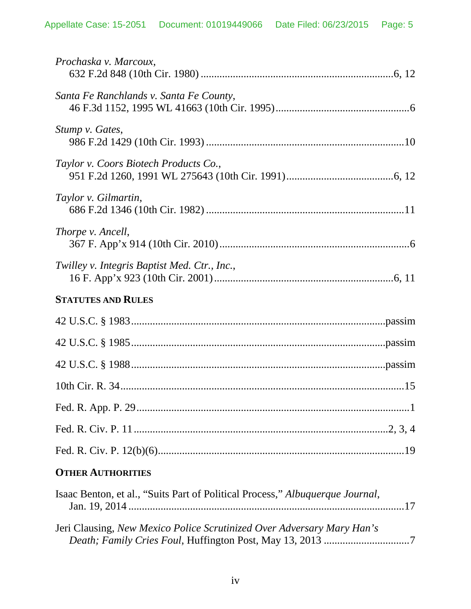| Prochaska v. Marcoux,                                                         |
|-------------------------------------------------------------------------------|
| Santa Fe Ranchlands v. Santa Fe County,                                       |
| Stump v. Gates,                                                               |
| Taylor v. Coors Biotech Products Co.,                                         |
| Taylor v. Gilmartin,                                                          |
| Thorpe v. Ancell,                                                             |
| Twilley v. Integris Baptist Med. Ctr., Inc.,                                  |
| <b>STATUTES AND RULES</b>                                                     |
|                                                                               |
|                                                                               |
|                                                                               |
|                                                                               |
|                                                                               |
|                                                                               |
|                                                                               |
| <b>OTHER AUTHORITIES</b>                                                      |
| Isaac Benton, et al., "Suits Part of Political Process," Albuquerque Journal, |
| <b>Leri Clausing New Mexico Police Scrutinized Over Adversary Mary Han's</b>  |

| Jeri Clausing, New Mexico Police Scrutinized Over Adversary Mary Han's |  |
|------------------------------------------------------------------------|--|
|                                                                        |  |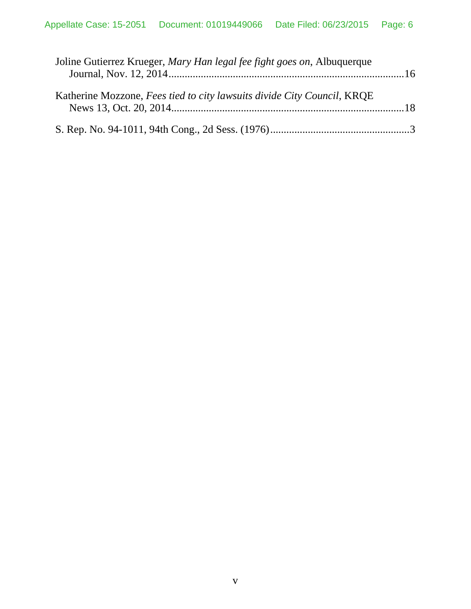| Joline Gutierrez Krueger, Mary Han legal fee fight goes on, Albuquerque |  |
|-------------------------------------------------------------------------|--|
| Katherine Mozzone, Fees tied to city lawsuits divide City Council, KRQE |  |
|                                                                         |  |
|                                                                         |  |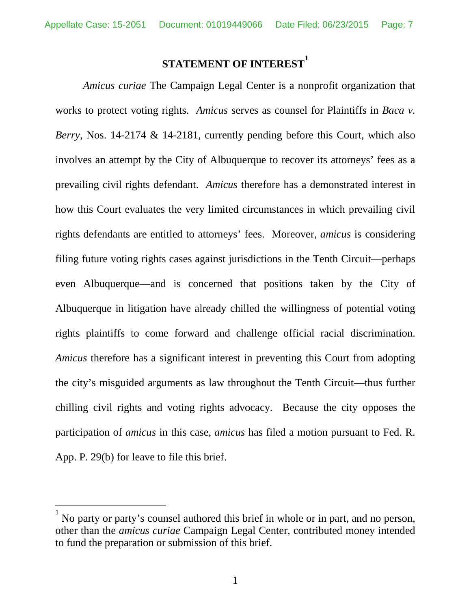# **STATEMENT OF INTEREST[1](#page-6-1)**

*Amicus curiae* The Campaign Legal Center is a nonprofit organization that works to protect voting rights. *Amicus* serves as counsel for Plaintiffs in *Baca v. Berry*, Nos. 14-2174 & 14-2181, currently pending before this Court, which also involves an attempt by the City of Albuquerque to recover its attorneys' fees as a prevailing civil rights defendant. *Amicus* therefore has a demonstrated interest in how this Court evaluates the very limited circumstances in which prevailing civil rights defendants are entitled to attorneys' fees. Moreover, *amicus* is considering filing future voting rights cases against jurisdictions in the Tenth Circuit—perhaps even Albuquerque—and is concerned that positions taken by the City of Albuquerque in litigation have already chilled the willingness of potential voting rights plaintiffs to come forward and challenge official racial discrimination. *Amicus* therefore has a significant interest in preventing this Court from adopting the city's misguided arguments as law throughout the Tenth Circuit—thus further chilling civil rights and voting rights advocacy. Because the city opposes the participation of *amicus* in this case, *amicus* has filed a motion pursuant to Fed. R. App. P. 29(b) for leave to file this brief.

<span id="page-6-1"></span><span id="page-6-0"></span><sup>1</sup> No party or party's counsel authored this brief in whole or in part, and no person, other than the *amicus curiae* Campaign Legal Center, contributed money intended to fund the preparation or submission of this brief.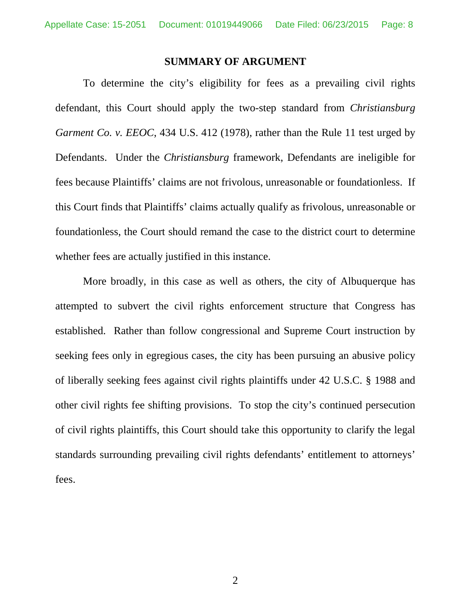#### <span id="page-7-0"></span>**SUMMARY OF ARGUMENT**

To determine the city's eligibility for fees as a prevailing civil rights defendant, this Court should apply the two-step standard from *Christiansburg Garment Co. v. EEOC*, 434 U.S. 412 (1978), rather than the Rule 11 test urged by Defendants. Under the *Christiansburg* framework, Defendants are ineligible for fees because Plaintiffs' claims are not frivolous, unreasonable or foundationless. If this Court finds that Plaintiffs' claims actually qualify as frivolous, unreasonable or foundationless, the Court should remand the case to the district court to determine whether fees are actually justified in this instance.

More broadly, in this case as well as others, the city of Albuquerque has attempted to subvert the civil rights enforcement structure that Congress has established. Rather than follow congressional and Supreme Court instruction by seeking fees only in egregious cases, the city has been pursuing an abusive policy of liberally seeking fees against civil rights plaintiffs under 42 U.S.C. § 1988 and other civil rights fee shifting provisions. To stop the city's continued persecution of civil rights plaintiffs, this Court should take this opportunity to clarify the legal standards surrounding prevailing civil rights defendants' entitlement to attorneys' fees.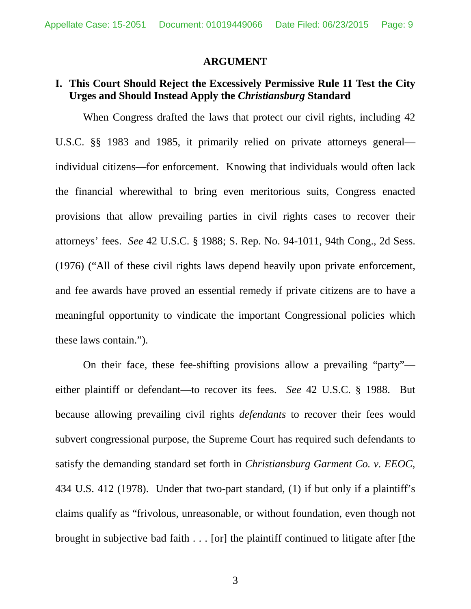#### <span id="page-8-4"></span><span id="page-8-3"></span><span id="page-8-1"></span>**ARGUMENT**

### **I. This Court Should Reject the Excessively Permissive Rule 11 Test the City Urges and Should Instead Apply the** *Christiansburg* **Standard**

<span id="page-8-2"></span>When Congress drafted the laws that protect our civil rights, including 42 U.S.C. §§ 1983 and 1985, it primarily relied on private attorneys general individual citizens—for enforcement. Knowing that individuals would often lack the financial wherewithal to bring even meritorious suits, Congress enacted provisions that allow prevailing parties in civil rights cases to recover their attorneys' fees. *See* 42 U.S.C. § 1988; S. Rep. No. 94-1011, 94th Cong., 2d Sess. (1976) ("All of these civil rights laws depend heavily upon private enforcement, and fee awards have proved an essential remedy if private citizens are to have a meaningful opportunity to vindicate the important Congressional policies which these laws contain.").

<span id="page-8-0"></span>On their face, these fee-shifting provisions allow a prevailing "party" either plaintiff or defendant—to recover its fees. *See* 42 U.S.C. § 1988. But because allowing prevailing civil rights *defendants* to recover their fees would subvert congressional purpose, the Supreme Court has required such defendants to satisfy the demanding standard set forth in *Christiansburg Garment Co. v. EEOC*, 434 U.S. 412 (1978). Under that two-part standard, (1) if but only if a plaintiff's claims qualify as "frivolous, unreasonable, or without foundation, even though not brought in subjective bad faith . . . [or] the plaintiff continued to litigate after [the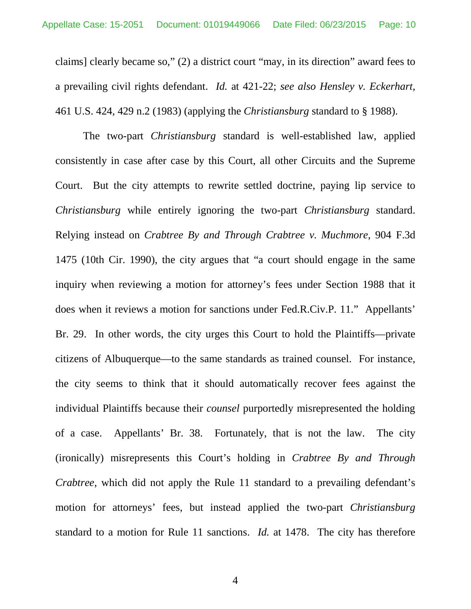<span id="page-9-1"></span>claims] clearly became so," (2) a district court "may, in its direction" award fees to a prevailing civil rights defendant. *Id.* at 421-22; *see also Hensley v. Eckerhart*, 461 U.S. 424, 429 n.2 (1983) (applying the *Christiansburg* standard to § 1988).

<span id="page-9-0"></span>The two-part *Christiansburg* standard is well-established law, applied consistently in case after case by this Court, all other Circuits and the Supreme Court. But the city attempts to rewrite settled doctrine, paying lip service to *Christiansburg* while entirely ignoring the two-part *Christiansburg* standard. Relying instead on *Crabtree By and Through Crabtree v. Muchmore*, 904 F.3d 1475 (10th Cir. 1990), the city argues that "a court should engage in the same inquiry when reviewing a motion for attorney's fees under Section 1988 that it does when it reviews a motion for sanctions under Fed.R.Civ.P. 11." Appellants' Br. 29. In other words, the city urges this Court to hold the Plaintiffs—private citizens of Albuquerque—to the same standards as trained counsel. For instance, the city seems to think that it should automatically recover fees against the individual Plaintiffs because their *counsel* purportedly misrepresented the holding of a case. Appellants' Br. 38. Fortunately, that is not the law. The city (ironically) misrepresents this Court's holding in *Crabtree By and Through Crabtree*, which did not apply the Rule 11 standard to a prevailing defendant's motion for attorneys' fees, but instead applied the two-part *Christiansburg*  standard to a motion for Rule 11 sanctions. *Id.* at 1478. The city has therefore

<span id="page-9-2"></span>4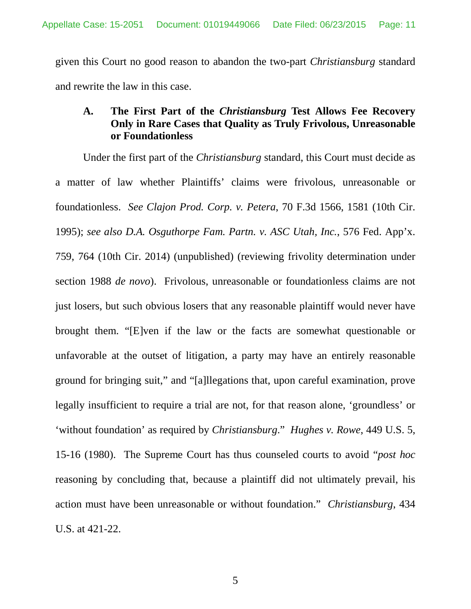given this Court no good reason to abandon the two-part *Christiansburg* standard and rewrite the law in this case.

## **A. The First Part of the** *Christiansburg* **Test Allows Fee Recovery Only in Rare Cases that Quality as Truly Frivolous, Unreasonable or Foundationless**

<span id="page-10-2"></span><span id="page-10-1"></span><span id="page-10-0"></span>Under the first part of the *Christiansburg* standard, this Court must decide as a matter of law whether Plaintiffs' claims were frivolous, unreasonable or foundationless. *See Clajon Prod. Corp. v. Petera*, 70 F.3d 1566, 1581 (10th Cir. 1995); *see also D.A. Osguthorpe Fam. Partn. v. ASC Utah, Inc.*, 576 Fed. App'x. 759, 764 (10th Cir. 2014) (unpublished) (reviewing frivolity determination under section 1988 *de novo*). Frivolous, unreasonable or foundationless claims are not just losers, but such obvious losers that any reasonable plaintiff would never have brought them. "[E]ven if the law or the facts are somewhat questionable or unfavorable at the outset of litigation, a party may have an entirely reasonable ground for bringing suit," and "[a]llegations that, upon careful examination, prove legally insufficient to require a trial are not, for that reason alone, 'groundless' or 'without foundation' as required by *Christiansburg*." *Hughes v. Rowe*, 449 U.S. 5, 15-16 (1980). The Supreme Court has thus counseled courts to avoid "*post hoc* reasoning by concluding that, because a plaintiff did not ultimately prevail, his action must have been unreasonable or without foundation." *Christiansburg*, 434 U.S. at 421-22.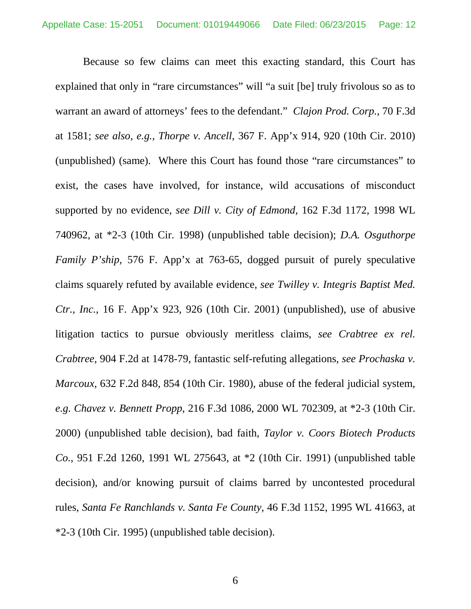<span id="page-11-7"></span><span id="page-11-6"></span><span id="page-11-5"></span><span id="page-11-4"></span><span id="page-11-3"></span><span id="page-11-2"></span><span id="page-11-1"></span><span id="page-11-0"></span>Because so few claims can meet this exacting standard, this Court has explained that only in "rare circumstances" will "a suit [be] truly frivolous so as to warrant an award of attorneys' fees to the defendant." *Clajon Prod. Corp.*, 70 F.3d at 1581; *see also, e.g.*, *Thorpe v. Ancell*, 367 F. App'x 914, 920 (10th Cir. 2010) (unpublished) (same). Where this Court has found those "rare circumstances" to exist, the cases have involved, for instance, wild accusations of misconduct supported by no evidence, *see Dill v. City of Edmond*, 162 F.3d 1172, 1998 WL 740962, at \*2-3 (10th Cir. 1998) (unpublished table decision); *D.A. Osguthorpe Family P'ship*, 576 F. App'x at 763-65, dogged pursuit of purely speculative claims squarely refuted by available evidence, *see Twilley v. Integris Baptist Med. Ctr., Inc.*, 16 F. App'x 923, 926 (10th Cir. 2001) (unpublished), use of abusive litigation tactics to pursue obviously meritless claims, *see Crabtree ex rel. Crabtree*, 904 F.2d at 1478-79, fantastic self-refuting allegations, *see Prochaska v. Marcoux*, 632 F.2d 848, 854 (10th Cir. 1980), abuse of the federal judicial system, *e.g. Chavez v. Bennett Propp*, 216 F.3d 1086, 2000 WL 702309, at \*2-3 (10th Cir. 2000) (unpublished table decision), bad faith, *Taylor v. Coors Biotech Products Co.*, 951 F.2d 1260, 1991 WL 275643, at \*2 (10th Cir. 1991) (unpublished table decision), and/or knowing pursuit of claims barred by uncontested procedural rules, *Santa Fe Ranchlands v. Santa Fe County*, 46 F.3d 1152, 1995 WL 41663, at \*2-3 (10th Cir. 1995) (unpublished table decision).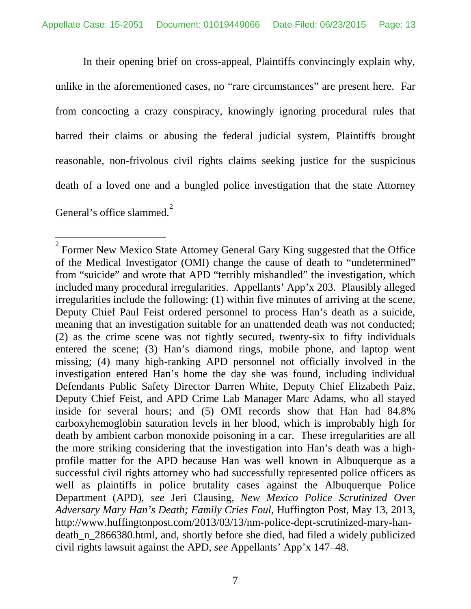In their opening brief on cross-appeal, Plaintiffs convincingly explain why, unlike in the aforementioned cases, no "rare circumstances" are present here. Far from concocting a crazy conspiracy, knowingly ignoring procedural rules that barred their claims or abusing the federal judicial system, Plaintiffs brought reasonable, non-frivolous civil rights claims seeking justice for the suspicious death of a loved one and a bungled police investigation that the state Attorney General's office slammed.<sup>[2](#page-12-1)</sup>

<span id="page-12-1"></span><span id="page-12-0"></span> $2^{2}$  Former New Mexico State Attorney General Gary King suggested that the Office of the Medical Investigator (OMI) change the cause of death to "undetermined" from "suicide" and wrote that APD "terribly mishandled" the investigation, which included many procedural irregularities. Appellants' App'x 203. Plausibly alleged irregularities include the following: (1) within five minutes of arriving at the scene, Deputy Chief Paul Feist ordered personnel to process Han's death as a suicide, meaning that an investigation suitable for an unattended death was not conducted; (2) as the crime scene was not tightly secured, twenty-six to fifty individuals entered the scene; (3) Han's diamond rings, mobile phone, and laptop went missing; (4) many high-ranking APD personnel not officially involved in the investigation entered Han's home the day she was found, including individual Defendants Public Safety Director Darren White, Deputy Chief Elizabeth Paiz, Deputy Chief Feist, and APD Crime Lab Manager Marc Adams, who all stayed inside for several hours; and (5) OMI records show that Han had 84.8% carboxyhemoglobin saturation levels in her blood, which is improbably high for death by ambient carbon monoxide poisoning in a car. These irregularities are all the more striking considering that the investigation into Han's death was a highprofile matter for the APD because Han was well known in Albuquerque as a successful civil rights attorney who had successfully represented police officers as well as plaintiffs in police brutality cases against the Albuquerque Police Department (APD), *see* Jeri Clausing, *New Mexico Police Scrutinized Over Adversary Mary Han's Death; Family Cries Foul*, Huffington Post, May 13, 2013, http://www.huffingtonpost.com/2013/03/13/nm-police-dept-scrutinized-mary-handeath\_n\_2866380.html, and, shortly before she died, had filed a widely publicized civil rights lawsuit against the APD, *see* Appellants' App'x 147–48.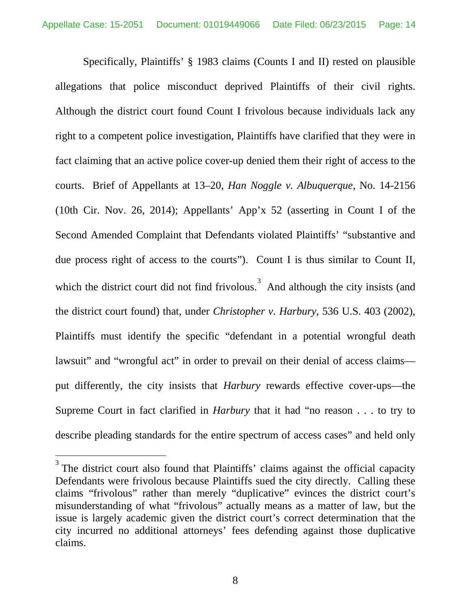Specifically, Plaintiffs' § 1983 claims (Counts I and II) rested on plausible allegations that police misconduct deprived Plaintiffs of their civil rights. Although the district court found Count I frivolous because individuals lack any right to a competent police investigation, Plaintiffs have clarified that they were in fact claiming that an active police cover-up denied them their right of access to the courts. Brief of Appellants at 13–20, *Han Noggle v. Albuquerque*, No. 14-2156 (10th Cir. Nov. 26, 2014); Appellants' App'x 52 (asserting in Count I of the Second Amended Complaint that Defendants violated Plaintiffs' "substantive and due process right of access to the courts"). Count I is thus similar to Count II, which the district court did not find frivolous.<sup>[3](#page-13-1)</sup> And although the city insists (and the district court found) that, under *Christopher v. Harbury*, 536 U.S. 403 (2002), Plaintiffs must identify the specific "defendant in a potential wrongful death lawsuit" and "wrongful act" in order to prevail on their denial of access claims put differently, the city insists that *Harbury* rewards effective cover-ups—the Supreme Court in fact clarified in *Harbury* that it had "no reason . . . to try to describe pleading standards for the entire spectrum of access cases" and held only

<span id="page-13-1"></span><span id="page-13-0"></span><sup>&</sup>lt;sup>3</sup> The district court also found that Plaintiffs' claims against the official capacity Defendants were frivolous because Plaintiffs sued the city directly. Calling these claims "frivolous" rather than merely "duplicative" evinces the district court's misunderstanding of what "frivolous" actually means as a matter of law, but the issue is largely academic given the district court's correct determination that the city incurred no additional attorneys' fees defending against those duplicative claims.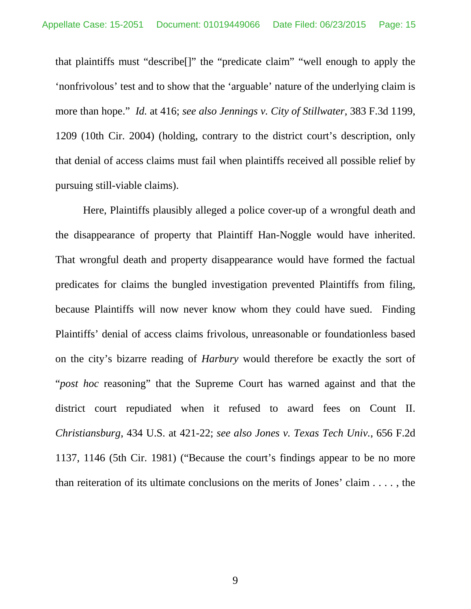<span id="page-14-0"></span>that plaintiffs must "describe[]" the "predicate claim" "well enough to apply the 'nonfrivolous' test and to show that the 'arguable' nature of the underlying claim is more than hope." *Id.* at 416; *see also Jennings v. City of Stillwater*, 383 F.3d 1199, 1209 (10th Cir. 2004) (holding, contrary to the district court's description, only that denial of access claims must fail when plaintiffs received all possible relief by pursuing still-viable claims).

<span id="page-14-1"></span>Here, Plaintiffs plausibly alleged a police cover-up of a wrongful death and the disappearance of property that Plaintiff Han-Noggle would have inherited. That wrongful death and property disappearance would have formed the factual predicates for claims the bungled investigation prevented Plaintiffs from filing, because Plaintiffs will now never know whom they could have sued. Finding Plaintiffs' denial of access claims frivolous, unreasonable or foundationless based on the city's bizarre reading of *Harbury* would therefore be exactly the sort of "*post hoc* reasoning" that the Supreme Court has warned against and that the district court repudiated when it refused to award fees on Count II. *Christiansburg*, 434 U.S. at 421-22; *see also Jones v. Texas Tech Univ.*, 656 F.2d 1137, 1146 (5th Cir. 1981) ("Because the court's findings appear to be no more than reiteration of its ultimate conclusions on the merits of Jones' claim . . . . , the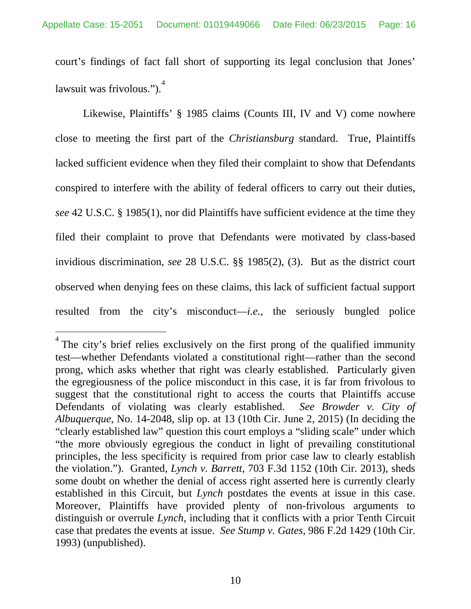court's findings of fact fall short of supporting its legal conclusion that Jones' lawsuit was frivolous.").<sup>[4](#page-15-2)</sup>

Likewise, Plaintiffs' § 1985 claims (Counts III, IV and V) come nowhere close to meeting the first part of the *Christiansburg* standard. True, Plaintiffs lacked sufficient evidence when they filed their complaint to show that Defendants conspired to interfere with the ability of federal officers to carry out their duties, *see* 42 U.S.C. § 1985(1), nor did Plaintiffs have sufficient evidence at the time they filed their complaint to prove that Defendants were motivated by class-based invidious discrimination, *see* 28 U.S.C. §§ 1985(2), (3). But as the district court observed when denying fees on these claims, this lack of sufficient factual support resulted from the city's misconduct—*i.e.*, the seriously bungled police

<span id="page-15-2"></span><span id="page-15-1"></span><span id="page-15-0"></span><sup>4</sup> The city's brief relies exclusively on the first prong of the qualified immunity test—whether Defendants violated a constitutional right—rather than the second prong, which asks whether that right was clearly established. Particularly given the egregiousness of the police misconduct in this case, it is far from frivolous to suggest that the constitutional right to access the courts that Plaintiffs accuse Defendants of violating was clearly established. *See Browder v. City of Albuquerque*, No. 14-2048, slip op. at 13 (10th Cir. June 2, 2015) (In deciding the "clearly established law" question this court employs a "sliding scale" under which "the more obviously egregious the conduct in light of prevailing constitutional principles, the less specificity is required from prior case law to clearly establish the violation."). Granted, *Lynch v. Barrett*, 703 F.3d 1152 (10th Cir. 2013), sheds some doubt on whether the denial of access right asserted here is currently clearly established in this Circuit, but *Lynch* postdates the events at issue in this case. Moreover, Plaintiffs have provided plenty of non-frivolous arguments to distinguish or overrule *Lynch*, including that it conflicts with a prior Tenth Circuit case that predates the events at issue. *See Stump v. Gates*, 986 F.2d 1429 (10th Cir. 1993) (unpublished).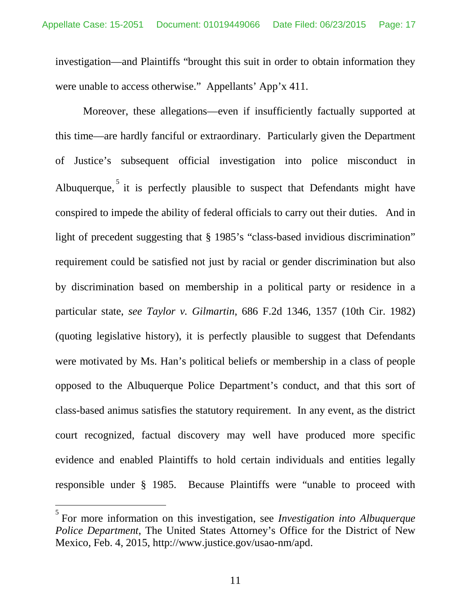investigation—and Plaintiffs "brought this suit in order to obtain information they were unable to access otherwise." Appellants' App'x 411.

<span id="page-16-0"></span>Moreover, these allegations—even if insufficiently factually supported at this time—are hardly fanciful or extraordinary. Particularly given the Department of Justice's subsequent official investigation into police misconduct in Albuquerque,  $\frac{5}{1}$  $\frac{5}{1}$  $\frac{5}{1}$  it is perfectly plausible to suspect that Defendants might have conspired to impede the ability of federal officials to carry out their duties. And in light of precedent suggesting that § 1985's "class-based invidious discrimination" requirement could be satisfied not just by racial or gender discrimination but also by discrimination based on membership in a political party or residence in a particular state, *see Taylor v. Gilmartin*, 686 F.2d 1346, 1357 (10th Cir. 1982) (quoting legislative history), it is perfectly plausible to suggest that Defendants were motivated by Ms. Han's political beliefs or membership in a class of people opposed to the Albuquerque Police Department's conduct, and that this sort of class-based animus satisfies the statutory requirement. In any event, as the district court recognized, factual discovery may well have produced more specific evidence and enabled Plaintiffs to hold certain individuals and entities legally responsible under § 1985. Because Plaintiffs were "unable to proceed with

<span id="page-16-1"></span><sup>5</sup> For more information on this investigation, see *Investigation into Albuquerque Police Department*, The United States Attorney's Office for the District of New Mexico, Feb. 4, 2015, http://www.justice.gov/usao-nm/apd.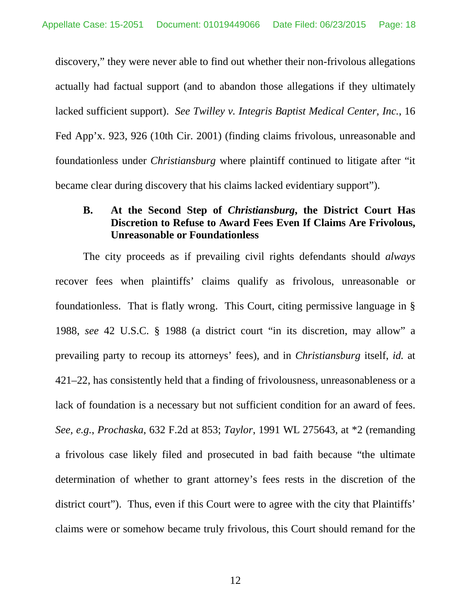discovery," they were never able to find out whether their non-frivolous allegations actually had factual support (and to abandon those allegations if they ultimately lacked sufficient support). *See Twilley v. Integris Baptist Medical Center, Inc.*, 16 Fed App'x. 923, 926 (10th Cir. 2001) (finding claims frivolous, unreasonable and foundationless under *Christiansburg* where plaintiff continued to litigate after "it became clear during discovery that his claims lacked evidentiary support").

## **B. At the Second Step of** *Christiansburg***, the District Court Has Discretion to Refuse to Award Fees Even If Claims Are Frivolous, Unreasonable or Foundationless**

<span id="page-17-1"></span><span id="page-17-0"></span>The city proceeds as if prevailing civil rights defendants should *always* recover fees when plaintiffs' claims qualify as frivolous, unreasonable or foundationless. That is flatly wrong. This Court, citing permissive language in § 1988, *see* 42 U.S.C. § 1988 (a district court "in its discretion, may allow" a prevailing party to recoup its attorneys' fees), and in *Christiansburg* itself, *id.* at 421–22, has consistently held that a finding of frivolousness, unreasonableness or a lack of foundation is a necessary but not sufficient condition for an award of fees. *See, e.g.*, *Prochaska*, 632 F.2d at 853; *Taylor*, 1991 WL 275643, at \*2 (remanding a frivolous case likely filed and prosecuted in bad faith because "the ultimate determination of whether to grant attorney's fees rests in the discretion of the district court"). Thus, even if this Court were to agree with the city that Plaintiffs' claims were or somehow became truly frivolous, this Court should remand for the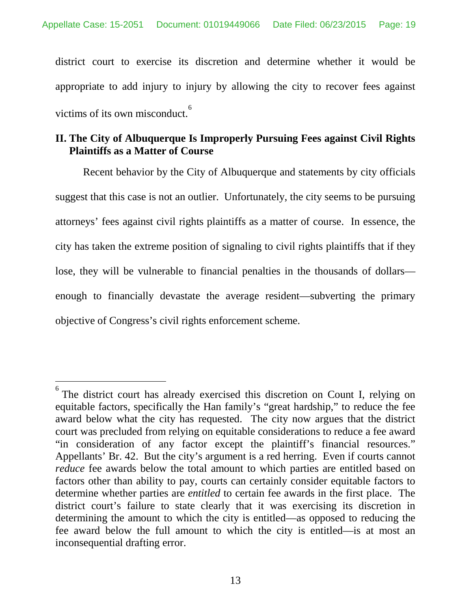district court to exercise its discretion and determine whether it would be appropriate to add injury to injury by allowing the city to recover fees against victims of its own misconduct.<sup>[6](#page-18-0)</sup>

## **II. The City of Albuquerque Is Improperly Pursuing Fees against Civil Rights Plaintiffs as a Matter of Course**

Recent behavior by the City of Albuquerque and statements by city officials suggest that this case is not an outlier. Unfortunately, the city seems to be pursuing attorneys' fees against civil rights plaintiffs as a matter of course. In essence, the city has taken the extreme position of signaling to civil rights plaintiffs that if they lose, they will be vulnerable to financial penalties in the thousands of dollars enough to financially devastate the average resident—subverting the primary objective of Congress's civil rights enforcement scheme.

<span id="page-18-0"></span><sup>6</sup> The district court has already exercised this discretion on Count I, relying on equitable factors, specifically the Han family's "great hardship," to reduce the fee award below what the city has requested. The city now argues that the district court was precluded from relying on equitable considerations to reduce a fee award "in consideration of any factor except the plaintiff's financial resources." Appellants' Br. 42. But the city's argument is a red herring. Even if courts cannot *reduce* fee awards below the total amount to which parties are entitled based on factors other than ability to pay, courts can certainly consider equitable factors to determine whether parties are *entitled* to certain fee awards in the first place. The district court's failure to state clearly that it was exercising its discretion in determining the amount to which the city is entitled—as opposed to reducing the fee award below the full amount to which the city is entitled—is at most an inconsequential drafting error.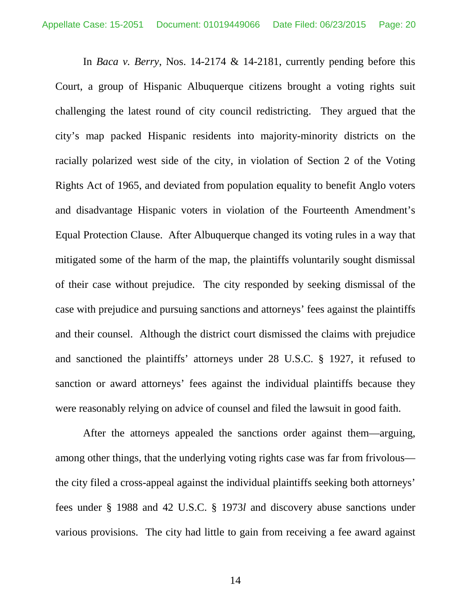In *Baca v. Berry*, Nos. 14-2174 & 14-2181, currently pending before this Court, a group of Hispanic Albuquerque citizens brought a voting rights suit challenging the latest round of city council redistricting. They argued that the city's map packed Hispanic residents into majority-minority districts on the racially polarized west side of the city, in violation of Section 2 of the Voting Rights Act of 1965, and deviated from population equality to benefit Anglo voters and disadvantage Hispanic voters in violation of the Fourteenth Amendment's Equal Protection Clause. After Albuquerque changed its voting rules in a way that mitigated some of the harm of the map, the plaintiffs voluntarily sought dismissal of their case without prejudice. The city responded by seeking dismissal of the case with prejudice and pursuing sanctions and attorneys' fees against the plaintiffs and their counsel. Although the district court dismissed the claims with prejudice and sanctioned the plaintiffs' attorneys under 28 U.S.C. § 1927, it refused to sanction or award attorneys' fees against the individual plaintiffs because they were reasonably relying on advice of counsel and filed the lawsuit in good faith.

After the attorneys appealed the sanctions order against them—arguing, among other things, that the underlying voting rights case was far from frivolous the city filed a cross-appeal against the individual plaintiffs seeking both attorneys' fees under § 1988 and 42 U.S.C. § 1973*l* and discovery abuse sanctions under various provisions. The city had little to gain from receiving a fee award against

<span id="page-19-0"></span>14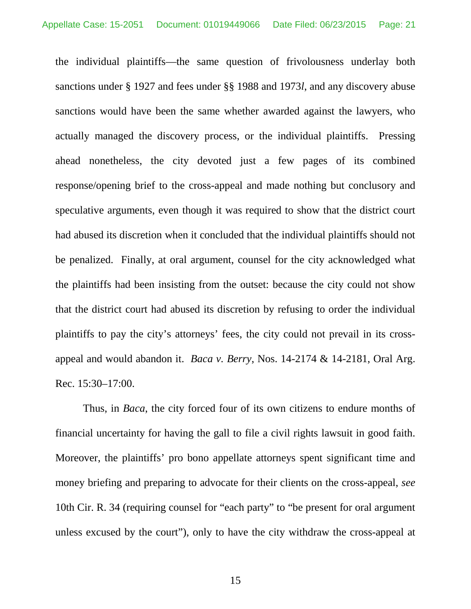the individual plaintiffs—the same question of frivolousness underlay both sanctions under § 1927 and fees under §§ 1988 and 1973*l*, and any discovery abuse sanctions would have been the same whether awarded against the lawyers, who actually managed the discovery process, or the individual plaintiffs. Pressing ahead nonetheless, the city devoted just a few pages of its combined response/opening brief to the cross-appeal and made nothing but conclusory and speculative arguments, even though it was required to show that the district court had abused its discretion when it concluded that the individual plaintiffs should not be penalized. Finally, at oral argument, counsel for the city acknowledged what the plaintiffs had been insisting from the outset: because the city could not show that the district court had abused its discretion by refusing to order the individual plaintiffs to pay the city's attorneys' fees, the city could not prevail in its crossappeal and would abandon it. *Baca v. Berry*, Nos. 14-2174 & 14-2181, Oral Arg. Rec. 15:30–17:00.

<span id="page-20-0"></span>Thus, in *Baca*, the city forced four of its own citizens to endure months of financial uncertainty for having the gall to file a civil rights lawsuit in good faith. Moreover, the plaintiffs' pro bono appellate attorneys spent significant time and money briefing and preparing to advocate for their clients on the cross-appeal, *see*  10th Cir. R. 34 (requiring counsel for "each party" to "be present for oral argument unless excused by the court"), only to have the city withdraw the cross-appeal at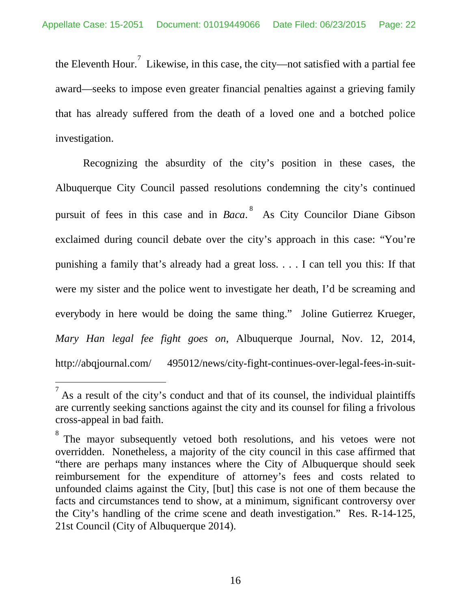the Eleventh Hour.<sup>[7](#page-21-1)</sup> Likewise, in this case, the city—not satisfied with a partial fee award—seeks to impose even greater financial penalties against a grieving family that has already suffered from the death of a loved one and a botched police investigation.

Recognizing the absurdity of the city's position in these cases, the Albuquerque City Council passed resolutions condemning the city's continued pursuit of fees in this case and in *Baca*.<sup>[8](#page-21-2)</sup> As City Councilor Diane Gibson exclaimed during council debate over the city's approach in this case: "You're punishing a family that's already had a great loss. . . . I can tell you this: If that were my sister and the police went to investigate her death, I'd be screaming and everybody in here would be doing the same thing." Joline Gutierrez Krueger, *Mary Han legal fee fight goes on*, Albuquerque Journal, Nov. 12, 2014, http://abqjournal.com/ 495012/news/city-fight-continues-over-legal-fees-in-suit-

<span id="page-21-1"></span><span id="page-21-0"></span> $<sup>7</sup>$  As a result of the city's conduct and that of its counsel, the individual plaintiffs</sup> are currently seeking sanctions against the city and its counsel for filing a frivolous cross-appeal in bad faith.

<span id="page-21-2"></span><sup>8</sup> The mayor subsequently vetoed both resolutions, and his vetoes were not overridden. Nonetheless, a majority of the city council in this case affirmed that "there are perhaps many instances where the City of Albuquerque should seek reimbursement for the expenditure of attorney's fees and costs related to unfounded claims against the City, [but] this case is not one of them because the facts and circumstances tend to show, at a minimum, significant controversy over the City's handling of the crime scene and death investigation." Res. R-14-125, 21st Council (City of Albuquerque 2014).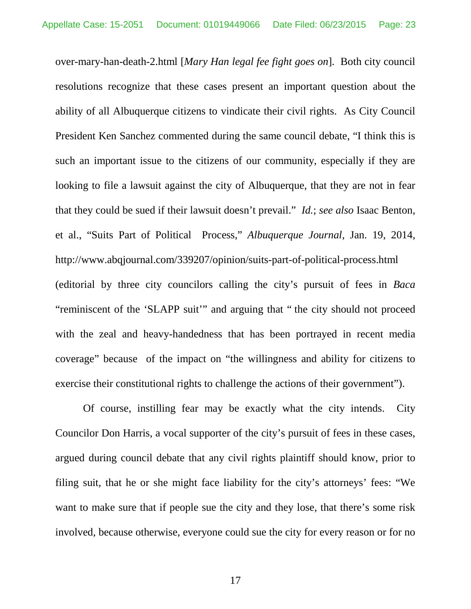<span id="page-22-0"></span>over-mary-han-death-2.html [*Mary Han legal fee fight goes on*]. Both city council resolutions recognize that these cases present an important question about the ability of all Albuquerque citizens to vindicate their civil rights. As City Council President Ken Sanchez commented during the same council debate, "I think this is such an important issue to the citizens of our community, especially if they are looking to file a lawsuit against the city of Albuquerque, that they are not in fear that they could be sued if their lawsuit doesn't prevail." *Id.*; *see also* Isaac Benton, et al., "Suits Part of Political Process," *Albuquerque Journal*, Jan. 19, 2014, http://www.abqjournal.com/339207/opinion/suits-part-of-political-process.html (editorial by three city councilors calling the city's pursuit of fees in *Baca* "reminiscent of the 'SLAPP suit'" and arguing that " the city should not proceed with the zeal and heavy-handedness that has been portrayed in recent media coverage" because of the impact on "the willingness and ability for citizens to exercise their constitutional rights to challenge the actions of their government").

Of course, instilling fear may be exactly what the city intends. City Councilor Don Harris, a vocal supporter of the city's pursuit of fees in these cases, argued during council debate that any civil rights plaintiff should know, prior to filing suit, that he or she might face liability for the city's attorneys' fees: "We want to make sure that if people sue the city and they lose, that there's some risk involved, because otherwise, everyone could sue the city for every reason or for no

17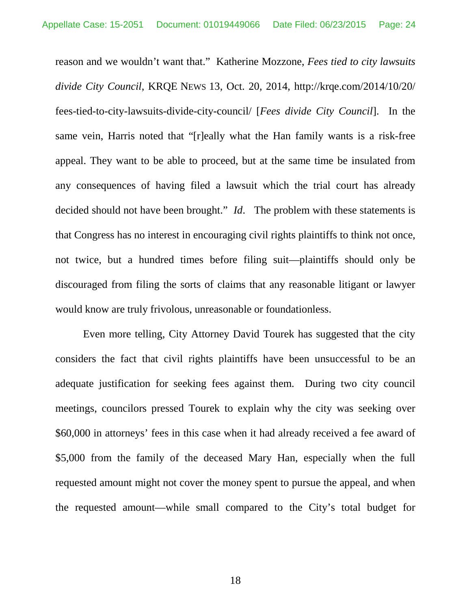<span id="page-23-0"></span>reason and we wouldn't want that." Katherine Mozzone, *Fees tied to city lawsuits divide City Council*, KRQE NEWS 13, Oct. 20, 2014, http://krqe.com/2014/10/20/ fees-tied-to-city-lawsuits-divide-city-council/ [*Fees divide City Council*]. In the same vein, Harris noted that "[r]eally what the Han family wants is a risk-free appeal. They want to be able to proceed, but at the same time be insulated from any consequences of having filed a lawsuit which the trial court has already decided should not have been brought." *Id*. The problem with these statements is that Congress has no interest in encouraging civil rights plaintiffs to think not once, not twice, but a hundred times before filing suit—plaintiffs should only be discouraged from filing the sorts of claims that any reasonable litigant or lawyer would know are truly frivolous, unreasonable or foundationless.

Even more telling, City Attorney David Tourek has suggested that the city considers the fact that civil rights plaintiffs have been unsuccessful to be an adequate justification for seeking fees against them. During two city council meetings, councilors pressed Tourek to explain why the city was seeking over \$60,000 in attorneys' fees in this case when it had already received a fee award of \$5,000 from the family of the deceased Mary Han, especially when the full requested amount might not cover the money spent to pursue the appeal, and when the requested amount—while small compared to the City's total budget for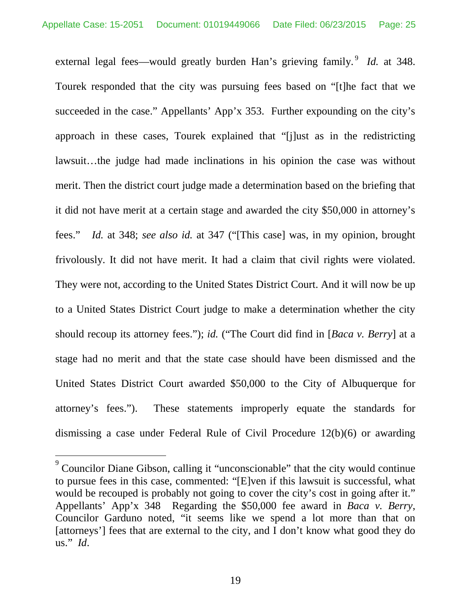external legal fees—would greatly burden Han's grieving family.<sup>[9](#page-24-1)</sup> *Id.* at 348. Tourek responded that the city was pursuing fees based on "[t]he fact that we succeeded in the case." Appellants' App'x 353. Further expounding on the city's approach in these cases, Tourek explained that "[j]ust as in the redistricting lawsuit…the judge had made inclinations in his opinion the case was without merit. Then the district court judge made a determination based on the briefing that it did not have merit at a certain stage and awarded the city \$50,000 in attorney's fees." *Id.* at 348; *see also id.* at 347 ("[This case] was, in my opinion, brought frivolously. It did not have merit. It had a claim that civil rights were violated. They were not, according to the United States District Court. And it will now be up to a United States District Court judge to make a determination whether the city should recoup its attorney fees."); *id.* ("The Court did find in [*Baca v. Berry*] at a stage had no merit and that the state case should have been dismissed and the United States District Court awarded \$50,000 to the City of Albuquerque for attorney's fees."). These statements improperly equate the standards for dismissing a case under Federal Rule of Civil Procedure 12(b)(6) or awarding

<span id="page-24-1"></span><span id="page-24-0"></span><sup>9</sup> Councilor Diane Gibson, calling it "unconscionable" that the city would continue to pursue fees in this case, commented: "[E]ven if this lawsuit is successful, what would be recouped is probably not going to cover the city's cost in going after it." Appellants' App'x 348 Regarding the \$50,000 fee award in *Baca v. Berry*, Councilor Garduno noted, "it seems like we spend a lot more than that on [attorneys'] fees that are external to the city, and I don't know what good they do us." *Id*.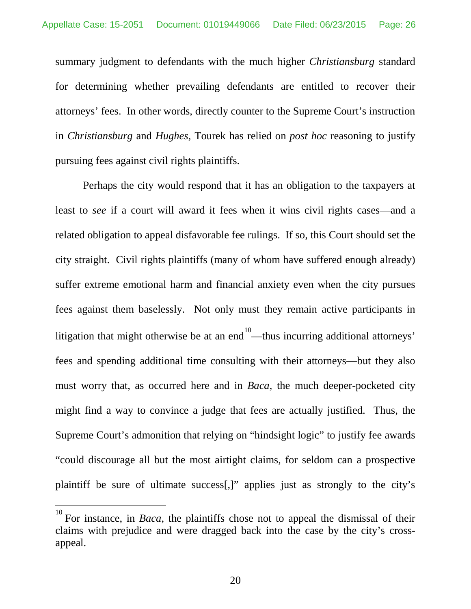summary judgment to defendants with the much higher *Christiansburg* standard for determining whether prevailing defendants are entitled to recover their attorneys' fees. In other words, directly counter to the Supreme Court's instruction in *Christiansburg* and *Hughes*, Tourek has relied on *post hoc* reasoning to justify pursuing fees against civil rights plaintiffs.

Perhaps the city would respond that it has an obligation to the taxpayers at least to *see* if a court will award it fees when it wins civil rights cases—and a related obligation to appeal disfavorable fee rulings. If so, this Court should set the city straight. Civil rights plaintiffs (many of whom have suffered enough already) suffer extreme emotional harm and financial anxiety even when the city pursues fees against them baselessly. Not only must they remain active participants in litigation that might otherwise be at an end  $10$ —thus incurring additional attorneys' fees and spending additional time consulting with their attorneys—but they also must worry that, as occurred here and in *Baca*, the much deeper-pocketed city might find a way to convince a judge that fees are actually justified. Thus, the Supreme Court's admonition that relying on "hindsight logic" to justify fee awards "could discourage all but the most airtight claims, for seldom can a prospective plaintiff be sure of ultimate success[,]" applies just as strongly to the city's

<span id="page-25-0"></span><sup>10</sup> For instance, in *Baca*, the plaintiffs chose not to appeal the dismissal of their claims with prejudice and were dragged back into the case by the city's crossappeal.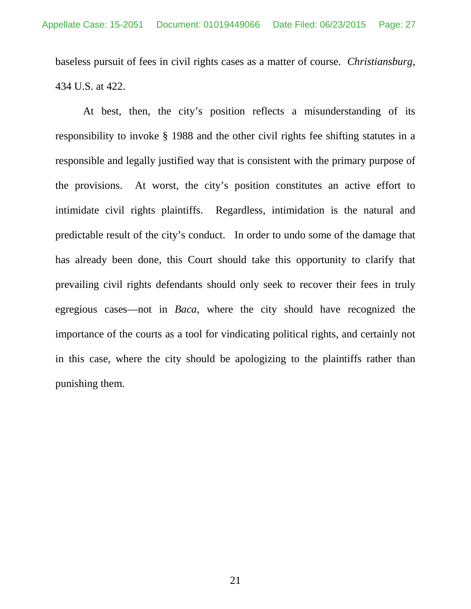baseless pursuit of fees in civil rights cases as a matter of course. *Christiansburg*, 434 U.S. at 422.

At best, then, the city's position reflects a misunderstanding of its responsibility to invoke § 1988 and the other civil rights fee shifting statutes in a responsible and legally justified way that is consistent with the primary purpose of the provisions. At worst, the city's position constitutes an active effort to intimidate civil rights plaintiffs. Regardless, intimidation is the natural and predictable result of the city's conduct. In order to undo some of the damage that has already been done, this Court should take this opportunity to clarify that prevailing civil rights defendants should only seek to recover their fees in truly egregious cases—not in *Baca*, where the city should have recognized the importance of the courts as a tool for vindicating political rights, and certainly not in this case, where the city should be apologizing to the plaintiffs rather than punishing them.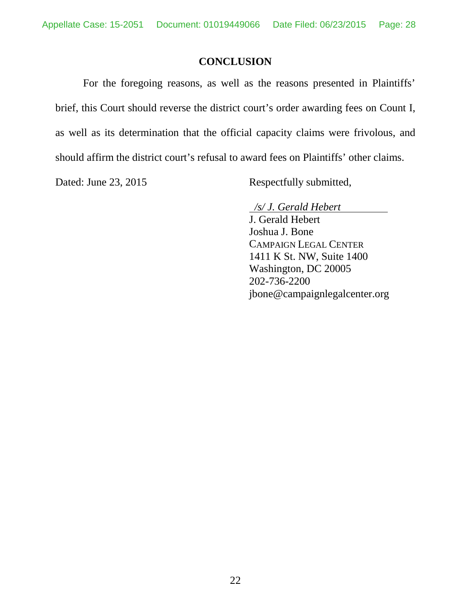## **CONCLUSION**

For the foregoing reasons, as well as the reasons presented in Plaintiffs' brief, this Court should reverse the district court's order awarding fees on Count I, as well as its determination that the official capacity claims were frivolous, and should affirm the district court's refusal to award fees on Plaintiffs' other claims.

Dated: June 23, 2015 Respectfully submitted,

 */s/ J. Gerald Hebert*

J. Gerald Hebert Joshua J. Bone CAMPAIGN LEGAL CENTER 1411 K St. NW, Suite 1400 Washington, DC 20005 202-736-2200 jbone@campaignlegalcenter.org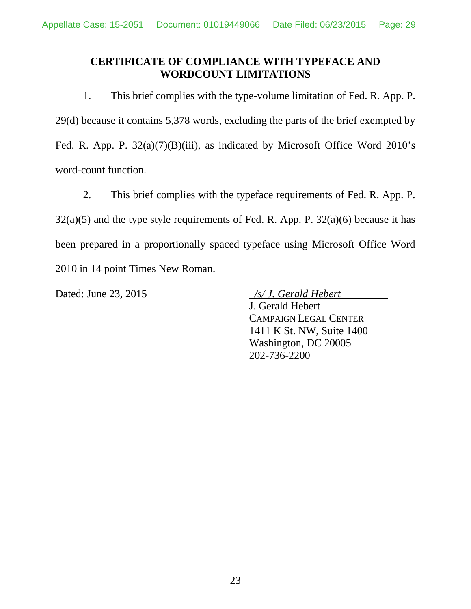## **CERTIFICATE OF COMPLIANCE WITH TYPEFACE AND WORDCOUNT LIMITATIONS**

1. This brief complies with the type-volume limitation of Fed. R. App. P. 29(d) because it contains 5,378 words, excluding the parts of the brief exempted by Fed. R. App. P.  $32(a)(7)(B)(iii)$ , as indicated by Microsoft Office Word 2010's word-count function.

2. This brief complies with the typeface requirements of Fed. R. App. P. 32(a)(5) and the type style requirements of Fed. R. App. P. 32(a)(6) because it has been prepared in a proportionally spaced typeface using Microsoft Office Word 2010 in 14 point Times New Roman.

Dated: June 23, 2015 */s/ J. Gerald Hebert*

J. Gerald Hebert CAMPAIGN LEGAL CENTER 1411 K St. NW, Suite 1400 Washington, DC 20005 202-736-2200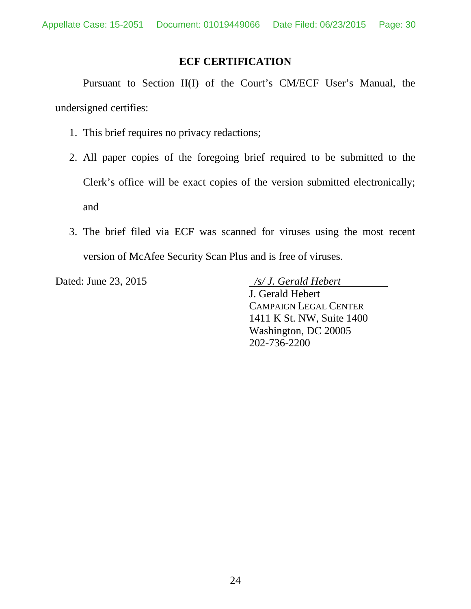#### **ECF CERTIFICATION**

Pursuant to Section II(I) of the Court's CM/ECF User's Manual, the undersigned certifies:

- 1. This brief requires no privacy redactions;
- 2. All paper copies of the foregoing brief required to be submitted to the Clerk's office will be exact copies of the version submitted electronically; and
- 3. The brief filed via ECF was scanned for viruses using the most recent version of McAfee Security Scan Plus and is free of viruses.

Dated: June 23, 2015 */s/ J. Gerald Hebert*

J. Gerald Hebert CAMPAIGN LEGAL CENTER 1411 K St. NW, Suite 1400 Washington, DC 20005 202-736-2200